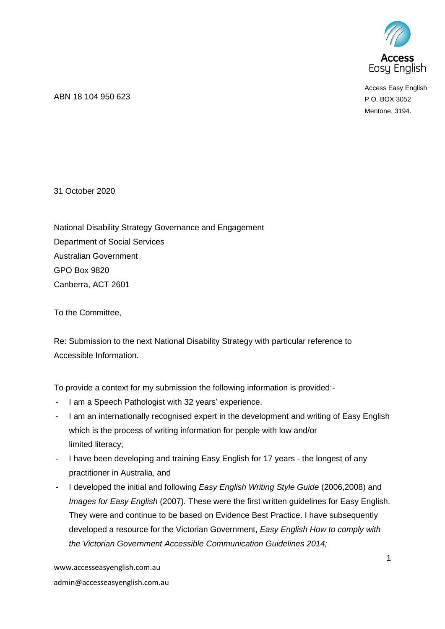

Access Easy English P.O. BOX 3052 Mentone, 3194.

ABN 18 104 950 623

31 October 2020

National Disability Strategy Governance and Engagement Department of Social Services Australian Government GPO Box 9820 Canberra, ACT 2601

To the Committee,

Re: Submission to the next National Disability Strategy with particular reference to Accessible Information.

To provide a context for my submission the following information is provided:-

- I am a Speech Pathologist with 32 years' experience.
- I am an internationally recognised expert in the development and writing of Easy English which is the process of writing information for people with low and/or limited literacy;
- I have been developing and training Easy English for 17 years the longest of any practitioner in Australia, and
- I developed the initial and following *Easy English Writing Style Guide* (2006,2008) and *Images for Easy English* (2007). These were the first written guidelines for Easy English. They were and continue to be based on Evidence Best Practice. I have subsequently developed a resource for the Victorian Government, *Easy English How to comply with the Victorian Government Accessible Communication Guidelines 2014;*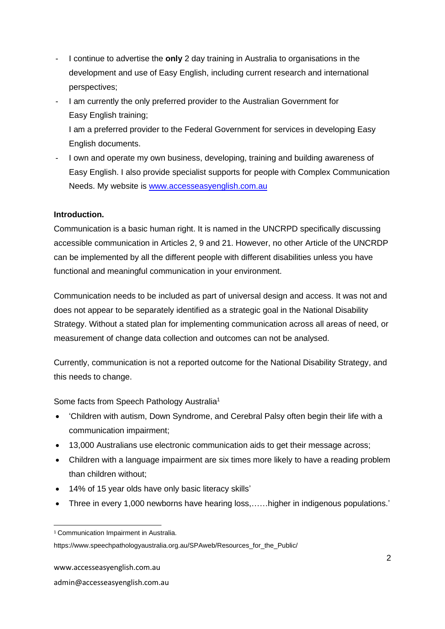- I continue to advertise the **only** 2 day training in Australia to organisations in the development and use of Easy English, including current research and international perspectives;
- I am currently the only preferred provider to the Australian Government for Easy English training; I am a preferred provider to the Federal Government for services in developing Easy English documents.
- I own and operate my own business, developing, training and building awareness of Easy English. I also provide specialist supports for people with Complex Communication Needs. My website is [www.accesseasyenglish.com.au](http://www.accesseasyenglish.com.au/)

# **Introduction.**

Communication is a basic human right. It is named in the UNCRPD specifically discussing accessible communication in Articles 2, 9 and 21. However, no other Article of the UNCRDP can be implemented by all the different people with different disabilities unless you have functional and meaningful communication in your environment.

Communication needs to be included as part of universal design and access. It was not and does not appear to be separately identified as a strategic goal in the National Disability Strategy. Without a stated plan for implementing communication across all areas of need, or measurement of change data collection and outcomes can not be analysed.

Currently, communication is not a reported outcome for the National Disability Strategy, and this needs to change.

Some facts from Speech Pathology Australia<sup>1</sup>

- 'Children with autism, Down Syndrome, and Cerebral Palsy often begin their life with a communication impairment;
- 13,000 Australians use electronic communication aids to get their message across;
- Children with a language impairment are six times more likely to have a reading problem than children without;
- 14% of 15 year olds have only basic literacy skills'
- Three in every 1,000 newborns have hearing loss,……higher in indigenous populations.'

<sup>&</sup>lt;sup>1</sup> Communication Impairment in Australia.

https://www.speechpathologyaustralia.org.au/SPAweb/Resources\_for\_the\_Public/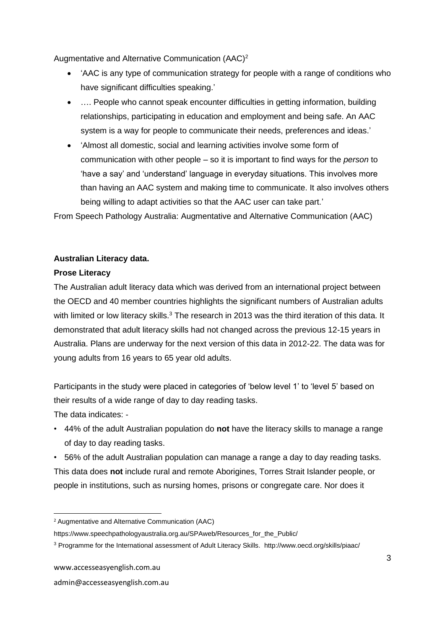Augmentative and Alternative Communication (AAC)<sup>2</sup>

- 'AAC is any type of communication strategy for people with a range of conditions who have significant difficulties speaking.'
- …. People who cannot speak encounter difficulties in getting information, building relationships, participating in education and employment and being safe. An AAC system is a way for people to communicate their needs, preferences and ideas.'
- 'Almost all domestic, social and learning activities involve some form of communication with other people – so it is important to find ways for the *person* to 'have a say' and 'understand' language in everyday situations. This involves more than having an AAC system and making time to communicate. It also involves others being willing to adapt activities so that the AAC user can take part.'

From Speech Pathology Australia: Augmentative and Alternative Communication (AAC)

### **Australian Literacy data.**

### **Prose Literacy**

The Australian adult literacy data which was derived from an international project between the OECD and 40 member countries highlights the significant numbers of Australian adults with limited or low literacy skills. $3$  The research in 2013 was the third iteration of this data. It demonstrated that adult literacy skills had not changed across the previous 12-15 years in Australia. Plans are underway for the next version of this data in 2012-22. The data was for young adults from 16 years to 65 year old adults.

Participants in the study were placed in categories of 'below level 1' to 'level 5' based on their results of a wide range of day to day reading tasks.

The data indicates: -

• 44% of the adult Australian population do **not** have the literacy skills to manage a range of day to day reading tasks.

• 56% of the adult Australian population can manage a range a day to day reading tasks. This data does **not** include rural and remote Aborigines, Torres Strait Islander people, or people in institutions, such as nursing homes, prisons or congregate care. Nor does it

<sup>2</sup> Augmentative and Alternative Communication (AAC)

https://www.speechpathologyaustralia.org.au/SPAweb/Resources\_for\_the\_Public/

<sup>3</sup> Programme for the International assessment of Adult Literacy Skills. http://www.oecd.org/skills/piaac/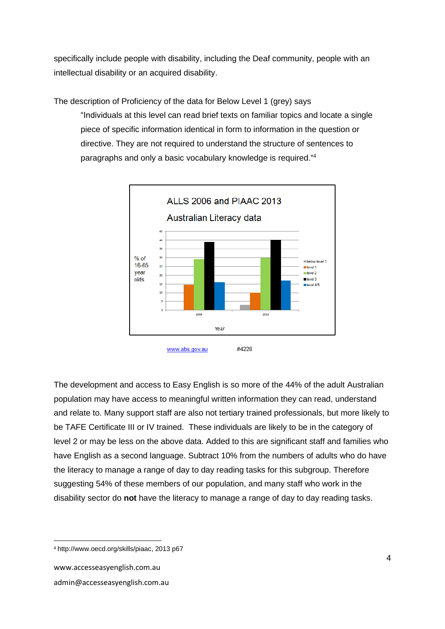specifically include people with disability, including the Deaf community, people with an intellectual disability or an acquired disability.

The description of Proficiency of the data for Below Level 1 (grey) says "Individuals at this level can read brief texts on familiar topics and locate a single piece of specific information identical in form to information in the question or directive. They are not required to understand the structure of sentences to paragraphs and only a basic vocabulary knowledge is required."<sup>4</sup>



The development and access to Easy English is so more of the 44% of the adult Australian population may have access to meaningful written information they can read, understand and relate to. Many support staff are also not tertiary trained professionals, but more likely to be TAFE Certificate III or IV trained. These individuals are likely to be in the category of level 2 or may be less on the above data. Added to this are significant staff and families who have English as a second language. Subtract 10% from the numbers of adults who do have the literacy to manage a range of day to day reading tasks for this subgroup. Therefore suggesting 54% of these members of our population, and many staff who work in the disability sector do **not** have the literacy to manage a range of day to day reading tasks.

<sup>4</sup> http://www.oecd.org/skills/piaac, 2013 p67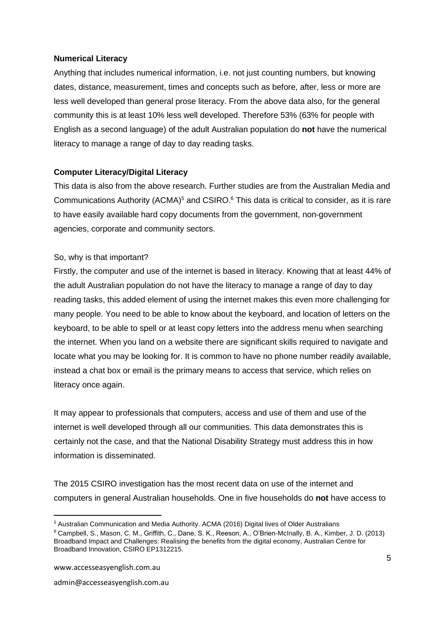#### **Numerical Literacy**

Anything that includes numerical information, i.e. not just counting numbers, but knowing dates, distance, measurement, times and concepts such as before, after, less or more are less well developed than general prose literacy. From the above data also, for the general community this is at least 10% less well developed. Therefore 53% (63% for people with English as a second language) of the adult Australian population do **not** have the numerical literacy to manage a range of day to day reading tasks.

### **Computer Literacy/Digital Literacy**

This data is also from the above research. Further studies are from the Australian Media and Communications Authority (ACMA)<sup>5</sup> and CSIRO.<sup>6</sup> This data is critical to consider, as it is rare to have easily available hard copy documents from the government, non-government agencies, corporate and community sectors.

#### So, why is that important?

Firstly, the computer and use of the internet is based in literacy. Knowing that at least 44% of the adult Australian population do not have the literacy to manage a range of day to day reading tasks, this added element of using the internet makes this even more challenging for many people. You need to be able to know about the keyboard, and location of letters on the keyboard, to be able to spell or at least copy letters into the address menu when searching the internet. When you land on a website there are significant skills required to navigate and locate what you may be looking for. It is common to have no phone number readily available, instead a chat box or email is the primary means to access that service, which relies on literacy once again.

It may appear to professionals that computers, access and use of them and use of the internet is well developed through all our communities. This data demonstrates this is certainly not the case, and that the National Disability Strategy must address this in how information is disseminated.

The 2015 CSIRO investigation has the most recent data on use of the internet and computers in general Australian households. One in five households do **not** have access to

<sup>&</sup>lt;sup>5</sup> Australian Communication and Media Authority. ACMA (2016) Digital lives of Older Australians

<sup>6</sup> Campbell, S., Mason, C. M., Griffith, C., Dane, S. K., Reeson, A., O'Brien-McInally, B. A., Kimber, J. D. (2013) Broadband Impact and Challenges: Realising the benefits from the digital economy, Australian Centre for Broadband Innovation, CSIRO EP1312215.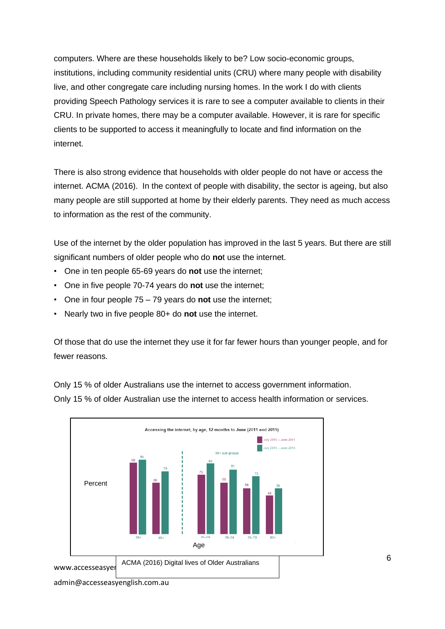computers. Where are these households likely to be? Low socio-economic groups, institutions, including community residential units (CRU) where many people with disability live, and other congregate care including nursing homes. In the work I do with clients providing Speech Pathology services it is rare to see a computer available to clients in their CRU. In private homes, there may be a computer available. However, it is rare for specific clients to be supported to access it meaningfully to locate and find information on the internet.

There is also strong evidence that households with older people do not have or access the internet. ACMA (2016). In the context of people with disability, the sector is ageing, but also many people are still supported at home by their elderly parents. They need as much access to information as the rest of the community.

Use of the internet by the older population has improved in the last 5 years. But there are still significant numbers of older people who do **no**t use the internet.

- One in ten people 65-69 years do **not** use the internet;
- One in five people 70-74 years do **not** use the internet;
- One in four people 75 79 years do **not** use the internet;
- Nearly two in five people 80+ do **not** use the internet.

Of those that do use the internet they use it for far fewer hours than younger people, and for fewer reasons.

Only 15 % of older Australians use the internet to access government information.

Only 15 % of older Australian use the internet to access health information or services.

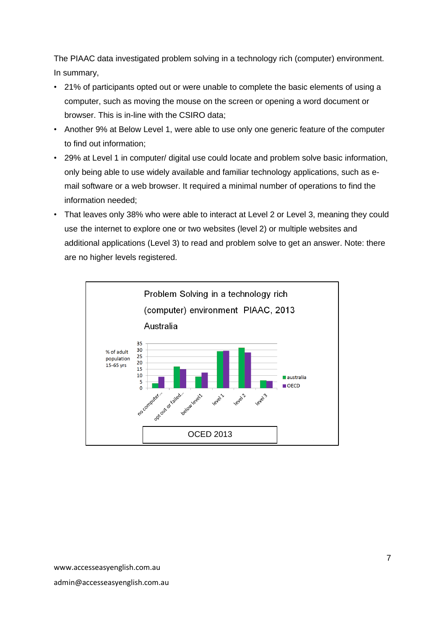The PIAAC data investigated problem solving in a technology rich (computer) environment. In summary,

- 21% of participants opted out or were unable to complete the basic elements of using a computer, such as moving the mouse on the screen or opening a word document or browser. This is in-line with the CSIRO data;
- Another 9% at Below Level 1, were able to use only one generic feature of the computer to find out information;
- 29% at Level 1 in computer/ digital use could locate and problem solve basic information, only being able to use widely available and familiar technology applications, such as email software or a web browser. It required a minimal number of operations to find the information needed;
- That leaves only 38% who were able to interact at Level 2 or Level 3, meaning they could use the internet to explore one or two websites (level 2) or multiple websites and additional applications (Level 3) to read and problem solve to get an answer. Note: there are no higher levels registered.

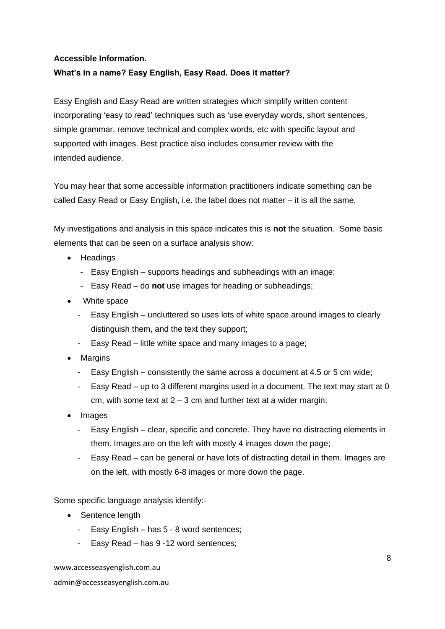# **Accessible Information.**

## **What's in a name? Easy English, Easy Read. Does it matter?**

Easy English and Easy Read are written strategies which simplify written content incorporating 'easy to read' techniques such as 'use everyday words, short sentences, simple grammar, remove technical and complex words, etc with specific layout and supported with images. Best practice also includes consumer review with the intended audience.

You may hear that some accessible information practitioners indicate something can be called Easy Read or Easy English, i.e. the label does not matter – it is all the same.

My investigations and analysis in this space indicates this is **not** the situation. Some basic elements that can be seen on a surface analysis show:

- Headings
	- Easy English supports headings and subheadings with an image;
	- Easy Read do **not** use images for heading or subheadings;
- White space
	- Easy English uncluttered so uses lots of white space around images to clearly distinguish them, and the text they support;
	- Easy Read little white space and many images to a page;
- Margins
	- Easy English consistently the same across a document at 4.5 or 5 cm wide;
	- Easy Read up to 3 different margins used in a document. The text may start at 0 cm, with some text at  $2 - 3$  cm and further text at a wider margin;
- Images
	- Easy English clear, specific and concrete. They have no distracting elements in them. Images are on the left with mostly 4 images down the page;
	- Easy Read can be general or have lots of distracting detail in them. Images are on the left, with mostly 6-8 images or more down the page.

Some specific language analysis identify:-

- Sentence length
	- Easy English has 5 8 word sentences;
	- Easy Read has 9 -12 word sentences;

www.accesseasyenglish.com.au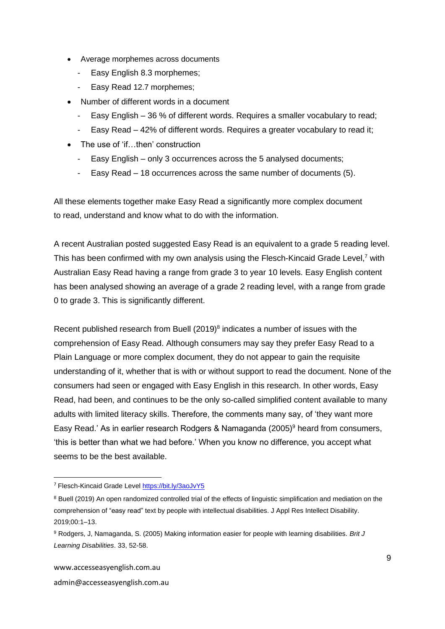- Average morphemes across documents
	- Easy English 8.3 morphemes;
	- Easy Read 12.7 morphemes;
- Number of different words in a document
	- Easy English 36 % of different words. Requires a smaller vocabulary to read;
	- Easy Read 42% of different words. Requires a greater vocabulary to read it;
- The use of 'if...then' construction
	- Easy English only 3 occurrences across the 5 analysed documents;
	- Easy Read 18 occurrences across the same number of documents (5).

All these elements together make Easy Read a significantly more complex document to read, understand and know what to do with the information.

A recent Australian posted suggested Easy Read is an equivalent to a grade 5 reading level. This has been confirmed with my own analysis using the Flesch-Kincaid Grade Level, $<sup>7</sup>$  with</sup> Australian Easy Read having a range from grade 3 to year 10 levels. Easy English content has been analysed showing an average of a grade 2 reading level, with a range from grade 0 to grade 3. This is significantly different.

Recent published research from Buell  $(2019)^8$  indicates a number of issues with the comprehension of Easy Read. Although consumers may say they prefer Easy Read to a Plain Language or more complex document, they do not appear to gain the requisite understanding of it, whether that is with or without support to read the document. None of the consumers had seen or engaged with Easy English in this research. In other words, Easy Read, had been, and continues to be the only so-called simplified content available to many adults with limited literacy skills. Therefore, the comments many say, of 'they want more Easy Read.' As in earlier research Rodgers & Namaganda (2005) <sup>9</sup> heard from consumers, 'this is better than what we had before.' When you know no difference, you accept what seems to be the best available.

<sup>7</sup> Flesch-Kincaid Grade Leve[l https://bit.ly/3aoJvY5](https://bit.ly/3aoJvY5)

<sup>8</sup> Buell (2019) An open randomized controlled trial of the effects of linguistic simplification and mediation on the comprehension of "easy read" text by people with intellectual disabilities. J Appl Res Intellect Disability. 2019;00:1–13.

<sup>9</sup> Rodgers, J, Namaganda, S. (2005) Making information easier for people with learning disabilities. *Brit J Learning Disabilities*. 33, 52-58.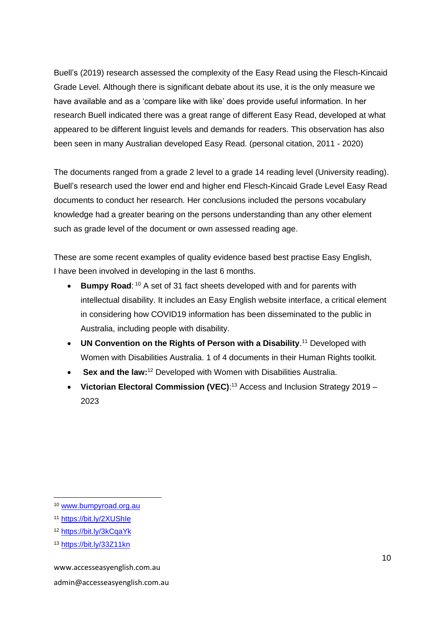Buell's (2019) research assessed the complexity of the Easy Read using the Flesch-Kincaid Grade Level. Although there is significant debate about its use, it is the only measure we have available and as a 'compare like with like' does provide useful information. In her research Buell indicated there was a great range of different Easy Read, developed at what appeared to be different linguist levels and demands for readers. This observation has also been seen in many Australian developed Easy Read. (personal citation, 2011 - 2020)

The documents ranged from a grade 2 level to a grade 14 reading level (University reading). Buell's research used the lower end and higher end Flesch-Kincaid Grade Level Easy Read documents to conduct her research. Her conclusions included the persons vocabulary knowledge had a greater bearing on the persons understanding than any other element such as grade level of the document or own assessed reading age.

These are some recent examples of quality evidence based best practise Easy English, I have been involved in developing in the last 6 months.

- **[Bumpy](http://www.bumpyroad.org.au/) Road**: <sup>10</sup> A set of 31 fact sheets developed with and for parents with intellectual disability. It includes an Easy English website interface, a critical element in considering how COVID19 information has been disseminated to the public in Australia, including people with disability.
- **UN Convention on the Rights of Person with a Disability.<sup>11</sup> Developed with** Women with Disabilities Australia. 1 of 4 documents in their Human Rights toolkit.
- **Sex and the law:** <sup>12</sup> Developed with Women with Disabilities Australia.
- Victorian Electoral Commission (VEC):<sup>13</sup> Access and Inclusion Strategy 2019 -2023

<sup>10</sup> [www.bumpyroad.org.au](http://www.bumpyroad.org.au/)

<sup>11</sup> <https://bit.ly/2XUShIe>

<sup>12</sup> <https://bit.ly/3kCqaYk>

<sup>13</sup> <https://bit.ly/33Z11kn>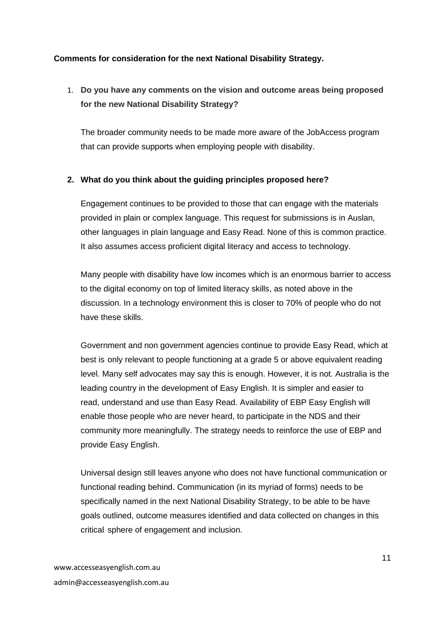### **Comments for consideration for the next National Disability Strategy.**

# 1. **Do you have any comments on the vision and outcome areas being proposed for the new National Disability Strategy?**

The broader community needs to be made more aware of the JobAccess program that can provide supports when employing people with disability.

### **2. What do you think about the guiding principles proposed here?**

Engagement continues to be provided to those that can engage with the materials provided in plain or complex language. This request for submissions is in Auslan, other languages in plain language and Easy Read. None of this is common practice. It also assumes access proficient digital literacy and access to technology.

Many people with disability have low incomes which is an enormous barrier to access to the digital economy on top of limited literacy skills, as noted above in the discussion. In a technology environment this is closer to 70% of people who do not have these skills.

Government and non government agencies continue to provide Easy Read, which at best is only relevant to people functioning at a grade 5 or above equivalent reading level. Many self advocates may say this is enough. However, it is not. Australia is the leading country in the development of Easy English. It is simpler and easier to read, understand and use than Easy Read. Availability of EBP Easy English will enable those people who are never heard, to participate in the NDS and their community more meaningfully. The strategy needs to reinforce the use of EBP and provide Easy English.

Universal design still leaves anyone who does not have functional communication or functional reading behind. Communication (in its myriad of forms) needs to be specifically named in the next National Disability Strategy, to be able to be have goals outlined, outcome measures identified and data collected on changes in this critical sphere of engagement and inclusion.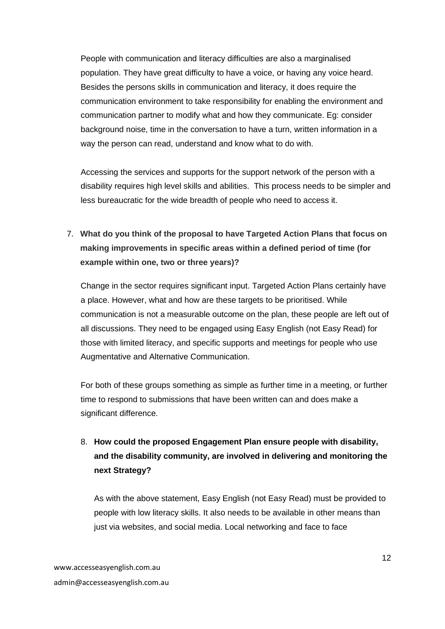People with communication and literacy difficulties are also a marginalised population. They have great difficulty to have a voice, or having any voice heard. Besides the persons skills in communication and literacy, it does require the communication environment to take responsibility for enabling the environment and communication partner to modify what and how they communicate. Eg: consider background noise, time in the conversation to have a turn, written information in a way the person can read, understand and know what to do with.

Accessing the services and supports for the support network of the person with a disability requires high level skills and abilities. This process needs to be simpler and less bureaucratic for the wide breadth of people who need to access it.

7. **What do you think of the proposal to have Targeted Action Plans that focus on making improvements in specific areas within a defined period of time (for example within one, two or three years)?**

Change in the sector requires significant input. Targeted Action Plans certainly have a place. However, what and how are these targets to be prioritised. While communication is not a measurable outcome on the plan, these people are left out of all discussions. They need to be engaged using Easy English (not Easy Read) for those with limited literacy, and specific supports and meetings for people who use Augmentative and Alternative Communication.

For both of these groups something as simple as further time in a meeting, or further time to respond to submissions that have been written can and does make a significant difference.

8. **How could the proposed Engagement Plan ensure people with disability, and the disability community, are involved in delivering and monitoring the next Strategy?**

As with the above statement, Easy English (not Easy Read) must be provided to people with low literacy skills. It also needs to be available in other means than just via websites, and social media. Local networking and face to face